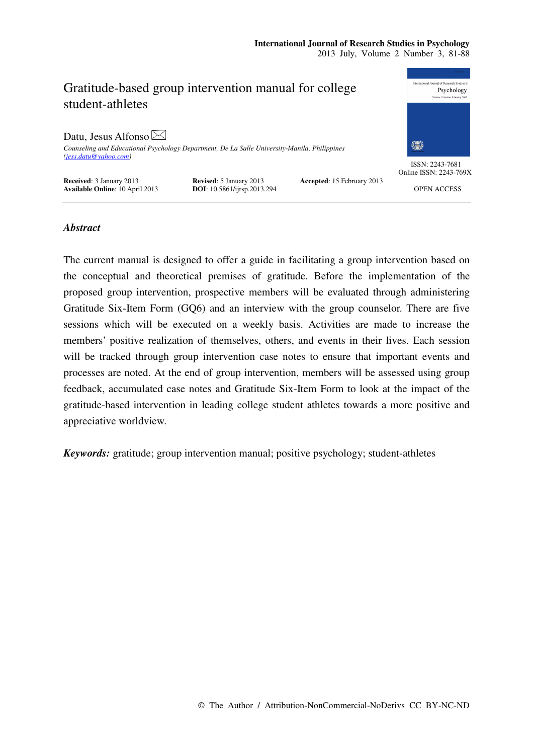

# *Abstract*

The current manual is designed to offer a guide in facilitating a group intervention based on the conceptual and theoretical premises of gratitude. Before the implementation of the proposed group intervention, prospective members will be evaluated through administering Gratitude Six-Item Form (GQ6) and an interview with the group counselor. There are five sessions which will be executed on a weekly basis. Activities are made to increase the members' positive realization of themselves, others, and events in their lives. Each session will be tracked through group intervention case notes to ensure that important events and processes are noted. At the end of group intervention, members will be assessed using group feedback, accumulated case notes and Gratitude Six-Item Form to look at the impact of the gratitude-based intervention in leading college student athletes towards a more positive and appreciative worldview.

*Keywords:* gratitude; group intervention manual; positive psychology; student-athletes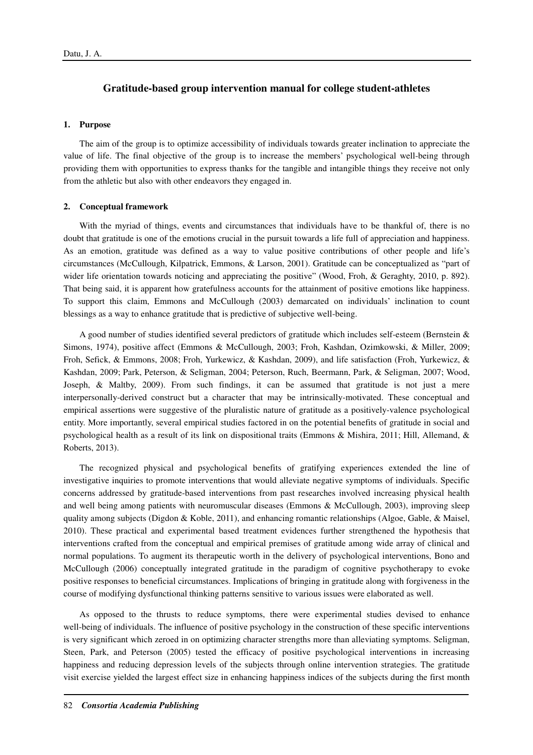# **Gratitude-based group intervention manual for college student-athletes**

# **1. Purpose**

The aim of the group is to optimize accessibility of individuals towards greater inclination to appreciate the value of life. The final objective of the group is to increase the members' psychological well-being through providing them with opportunities to express thanks for the tangible and intangible things they receive not only from the athletic but also with other endeavors they engaged in.

## **2. Conceptual framework**

With the myriad of things, events and circumstances that individuals have to be thankful of, there is no doubt that gratitude is one of the emotions crucial in the pursuit towards a life full of appreciation and happiness. As an emotion, gratitude was defined as a way to value positive contributions of other people and life's circumstances (McCullough, Kilpatrick, Emmons, & Larson, 2001). Gratitude can be conceptualized as "part of wider life orientation towards noticing and appreciating the positive" (Wood, Froh, & Geraghty, 2010, p. 892). That being said, it is apparent how gratefulness accounts for the attainment of positive emotions like happiness. To support this claim, Emmons and McCullough (2003) demarcated on individuals' inclination to count blessings as a way to enhance gratitude that is predictive of subjective well-being.

A good number of studies identified several predictors of gratitude which includes self-esteem (Bernstein & Simons, 1974), positive affect (Emmons & McCullough, 2003; Froh, Kashdan, Ozimkowski, & Miller, 2009; Froh, Sefick, & Emmons, 2008; Froh, Yurkewicz, & Kashdan, 2009), and life satisfaction (Froh, Yurkewicz, & Kashdan, 2009; Park, Peterson, & Seligman, 2004; Peterson, Ruch, Beermann, Park, & Seligman, 2007; Wood, Joseph, & Maltby, 2009). From such findings, it can be assumed that gratitude is not just a mere interpersonally-derived construct but a character that may be intrinsically-motivated. These conceptual and empirical assertions were suggestive of the pluralistic nature of gratitude as a positively-valence psychological entity. More importantly, several empirical studies factored in on the potential benefits of gratitude in social and psychological health as a result of its link on dispositional traits (Emmons & Mishira, 2011; Hill, Allemand, & Roberts, 2013).

The recognized physical and psychological benefits of gratifying experiences extended the line of investigative inquiries to promote interventions that would alleviate negative symptoms of individuals. Specific concerns addressed by gratitude-based interventions from past researches involved increasing physical health and well being among patients with neuromuscular diseases (Emmons & McCullough, 2003), improving sleep quality among subjects (Digdon & Koble, 2011), and enhancing romantic relationships (Algoe, Gable, & Maisel, 2010). These practical and experimental based treatment evidences further strengthened the hypothesis that interventions crafted from the conceptual and empirical premises of gratitude among wide array of clinical and normal populations. To augment its therapeutic worth in the delivery of psychological interventions, Bono and McCullough (2006) conceptually integrated gratitude in the paradigm of cognitive psychotherapy to evoke positive responses to beneficial circumstances. Implications of bringing in gratitude along with forgiveness in the course of modifying dysfunctional thinking patterns sensitive to various issues were elaborated as well.

As opposed to the thrusts to reduce symptoms, there were experimental studies devised to enhance well-being of individuals. The influence of positive psychology in the construction of these specific interventions is very significant which zeroed in on optimizing character strengths more than alleviating symptoms. Seligman, Steen, Park, and Peterson (2005) tested the efficacy of positive psychological interventions in increasing happiness and reducing depression levels of the subjects through online intervention strategies. The gratitude visit exercise yielded the largest effect size in enhancing happiness indices of the subjects during the first month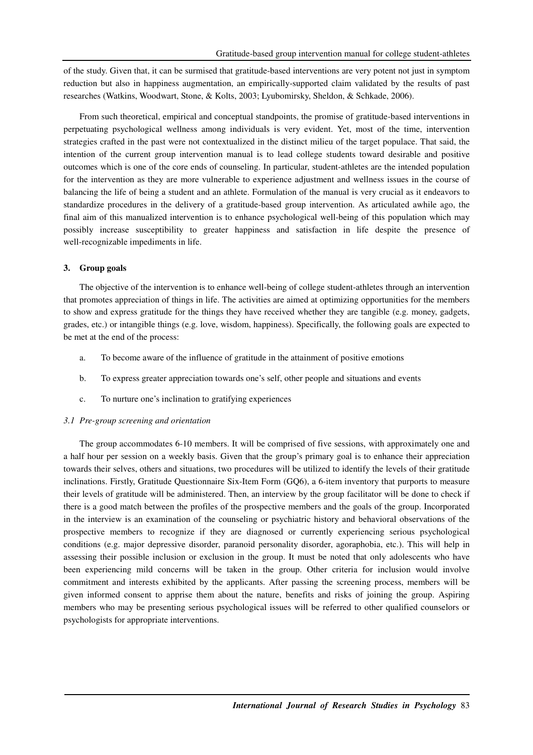of the study. Given that, it can be surmised that gratitude-based interventions are very potent not just in symptom reduction but also in happiness augmentation, an empirically-supported claim validated by the results of past researches (Watkins, Woodwart, Stone, & Kolts, 2003; Lyubomirsky, Sheldon, & Schkade, 2006).

From such theoretical, empirical and conceptual standpoints, the promise of gratitude-based interventions in perpetuating psychological wellness among individuals is very evident. Yet, most of the time, intervention strategies crafted in the past were not contextualized in the distinct milieu of the target populace. That said, the intention of the current group intervention manual is to lead college students toward desirable and positive outcomes which is one of the core ends of counseling. In particular, student-athletes are the intended population for the intervention as they are more vulnerable to experience adjustment and wellness issues in the course of balancing the life of being a student and an athlete. Formulation of the manual is very crucial as it endeavors to standardize procedures in the delivery of a gratitude-based group intervention. As articulated awhile ago, the final aim of this manualized intervention is to enhance psychological well-being of this population which may possibly increase susceptibility to greater happiness and satisfaction in life despite the presence of well-recognizable impediments in life.

# **3. Group goals**

The objective of the intervention is to enhance well-being of college student-athletes through an intervention that promotes appreciation of things in life. The activities are aimed at optimizing opportunities for the members to show and express gratitude for the things they have received whether they are tangible (e.g. money, gadgets, grades, etc.) or intangible things (e.g. love, wisdom, happiness). Specifically, the following goals are expected to be met at the end of the process:

- a. To become aware of the influence of gratitude in the attainment of positive emotions
- b. To express greater appreciation towards one's self, other people and situations and events
- c. To nurture one's inclination to gratifying experiences

# *3.1 Pre-group screening and orientation*

The group accommodates 6-10 members. It will be comprised of five sessions, with approximately one and a half hour per session on a weekly basis. Given that the group's primary goal is to enhance their appreciation towards their selves, others and situations, two procedures will be utilized to identify the levels of their gratitude inclinations. Firstly, Gratitude Questionnaire Six-Item Form (GQ6), a 6-item inventory that purports to measure their levels of gratitude will be administered. Then, an interview by the group facilitator will be done to check if there is a good match between the profiles of the prospective members and the goals of the group. Incorporated in the interview is an examination of the counseling or psychiatric history and behavioral observations of the prospective members to recognize if they are diagnosed or currently experiencing serious psychological conditions (e.g. major depressive disorder, paranoid personality disorder, agoraphobia, etc.). This will help in assessing their possible inclusion or exclusion in the group. It must be noted that only adolescents who have been experiencing mild concerns will be taken in the group. Other criteria for inclusion would involve commitment and interests exhibited by the applicants. After passing the screening process, members will be given informed consent to apprise them about the nature, benefits and risks of joining the group. Aspiring members who may be presenting serious psychological issues will be referred to other qualified counselors or psychologists for appropriate interventions.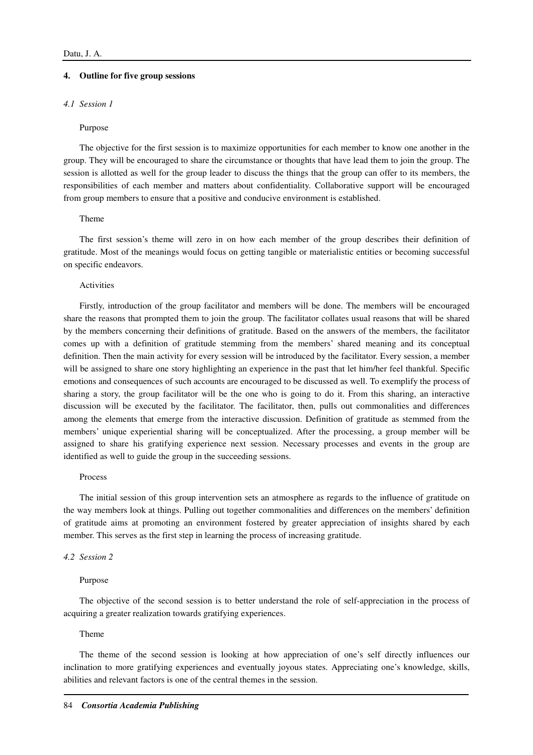## **4. Outline for five group sessions**

# *4.1 Session 1*

#### Purpose

The objective for the first session is to maximize opportunities for each member to know one another in the group. They will be encouraged to share the circumstance or thoughts that have lead them to join the group. The session is allotted as well for the group leader to discuss the things that the group can offer to its members, the responsibilities of each member and matters about confidentiality. Collaborative support will be encouraged from group members to ensure that a positive and conducive environment is established.

# Theme

The first session's theme will zero in on how each member of the group describes their definition of gratitude. Most of the meanings would focus on getting tangible or materialistic entities or becoming successful on specific endeavors.

#### Activities

Firstly, introduction of the group facilitator and members will be done. The members will be encouraged share the reasons that prompted them to join the group. The facilitator collates usual reasons that will be shared by the members concerning their definitions of gratitude. Based on the answers of the members, the facilitator comes up with a definition of gratitude stemming from the members' shared meaning and its conceptual definition. Then the main activity for every session will be introduced by the facilitator. Every session, a member will be assigned to share one story highlighting an experience in the past that let him/her feel thankful. Specific emotions and consequences of such accounts are encouraged to be discussed as well. To exemplify the process of sharing a story, the group facilitator will be the one who is going to do it. From this sharing, an interactive discussion will be executed by the facilitator. The facilitator, then, pulls out commonalities and differences among the elements that emerge from the interactive discussion. Definition of gratitude as stemmed from the members' unique experiential sharing will be conceptualized. After the processing, a group member will be assigned to share his gratifying experience next session. Necessary processes and events in the group are identified as well to guide the group in the succeeding sessions.

### Process

The initial session of this group intervention sets an atmosphere as regards to the influence of gratitude on the way members look at things. Pulling out together commonalities and differences on the members' definition of gratitude aims at promoting an environment fostered by greater appreciation of insights shared by each member. This serves as the first step in learning the process of increasing gratitude.

# *4.2 Session 2*

#### Purpose

The objective of the second session is to better understand the role of self-appreciation in the process of acquiring a greater realization towards gratifying experiences.

# Theme

The theme of the second session is looking at how appreciation of one's self directly influences our inclination to more gratifying experiences and eventually joyous states. Appreciating one's knowledge, skills, abilities and relevant factors is one of the central themes in the session.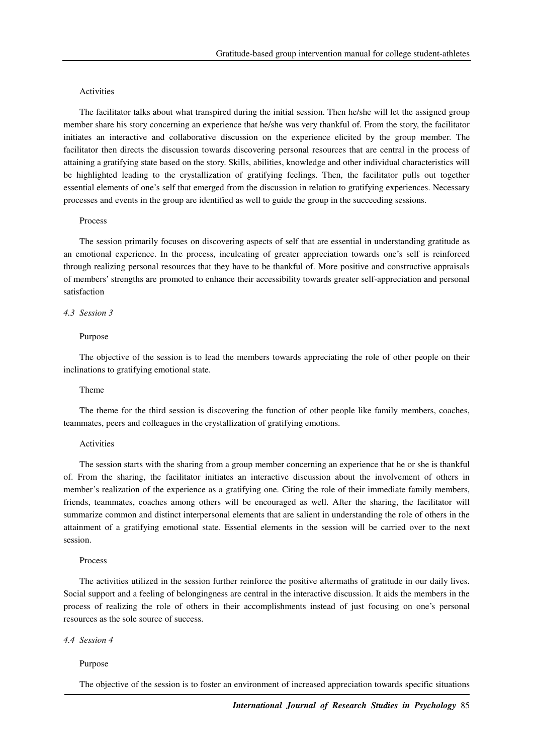# Activities

The facilitator talks about what transpired during the initial session. Then he/she will let the assigned group member share his story concerning an experience that he/she was very thankful of. From the story, the facilitator initiates an interactive and collaborative discussion on the experience elicited by the group member. The facilitator then directs the discussion towards discovering personal resources that are central in the process of attaining a gratifying state based on the story. Skills, abilities, knowledge and other individual characteristics will be highlighted leading to the crystallization of gratifying feelings. Then, the facilitator pulls out together essential elements of one's self that emerged from the discussion in relation to gratifying experiences. Necessary processes and events in the group are identified as well to guide the group in the succeeding sessions.

#### Process

The session primarily focuses on discovering aspects of self that are essential in understanding gratitude as an emotional experience. In the process, inculcating of greater appreciation towards one's self is reinforced through realizing personal resources that they have to be thankful of. More positive and constructive appraisals of members' strengths are promoted to enhance their accessibility towards greater self-appreciation and personal satisfaction

# *4.3 Session 3*

### Purpose

The objective of the session is to lead the members towards appreciating the role of other people on their inclinations to gratifying emotional state.

# Theme

The theme for the third session is discovering the function of other people like family members, coaches, teammates, peers and colleagues in the crystallization of gratifying emotions.

#### Activities

The session starts with the sharing from a group member concerning an experience that he or she is thankful of. From the sharing, the facilitator initiates an interactive discussion about the involvement of others in member's realization of the experience as a gratifying one. Citing the role of their immediate family members, friends, teammates, coaches among others will be encouraged as well. After the sharing, the facilitator will summarize common and distinct interpersonal elements that are salient in understanding the role of others in the attainment of a gratifying emotional state. Essential elements in the session will be carried over to the next session.

#### Process

The activities utilized in the session further reinforce the positive aftermaths of gratitude in our daily lives. Social support and a feeling of belongingness are central in the interactive discussion. It aids the members in the process of realizing the role of others in their accomplishments instead of just focusing on one's personal resources as the sole source of success.

### *4.4 Session 4*

# Purpose

The objective of the session is to foster an environment of increased appreciation towards specific situations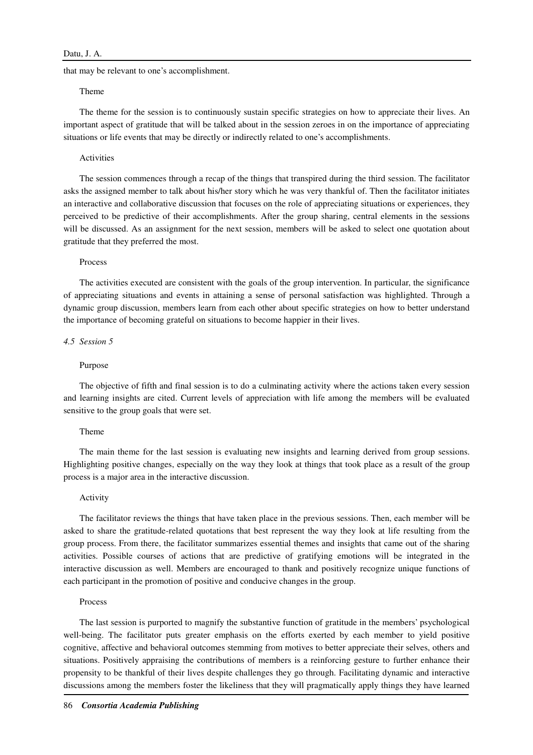that may be relevant to one's accomplishment.

# Theme

The theme for the session is to continuously sustain specific strategies on how to appreciate their lives. An important aspect of gratitude that will be talked about in the session zeroes in on the importance of appreciating situations or life events that may be directly or indirectly related to one's accomplishments.

#### Activities

The session commences through a recap of the things that transpired during the third session. The facilitator asks the assigned member to talk about his/her story which he was very thankful of. Then the facilitator initiates an interactive and collaborative discussion that focuses on the role of appreciating situations or experiences, they perceived to be predictive of their accomplishments. After the group sharing, central elements in the sessions will be discussed. As an assignment for the next session, members will be asked to select one quotation about gratitude that they preferred the most.

## Process

The activities executed are consistent with the goals of the group intervention. In particular, the significance of appreciating situations and events in attaining a sense of personal satisfaction was highlighted. Through a dynamic group discussion, members learn from each other about specific strategies on how to better understand the importance of becoming grateful on situations to become happier in their lives.

## *4.5 Session 5*

## Purpose

The objective of fifth and final session is to do a culminating activity where the actions taken every session and learning insights are cited. Current levels of appreciation with life among the members will be evaluated sensitive to the group goals that were set.

# Theme

The main theme for the last session is evaluating new insights and learning derived from group sessions. Highlighting positive changes, especially on the way they look at things that took place as a result of the group process is a major area in the interactive discussion.

#### Activity

The facilitator reviews the things that have taken place in the previous sessions. Then, each member will be asked to share the gratitude-related quotations that best represent the way they look at life resulting from the group process. From there, the facilitator summarizes essential themes and insights that came out of the sharing activities. Possible courses of actions that are predictive of gratifying emotions will be integrated in the interactive discussion as well. Members are encouraged to thank and positively recognize unique functions of each participant in the promotion of positive and conducive changes in the group.

## Process

The last session is purported to magnify the substantive function of gratitude in the members' psychological well-being. The facilitator puts greater emphasis on the efforts exerted by each member to yield positive cognitive, affective and behavioral outcomes stemming from motives to better appreciate their selves, others and situations. Positively appraising the contributions of members is a reinforcing gesture to further enhance their propensity to be thankful of their lives despite challenges they go through. Facilitating dynamic and interactive discussions among the members foster the likeliness that they will pragmatically apply things they have learned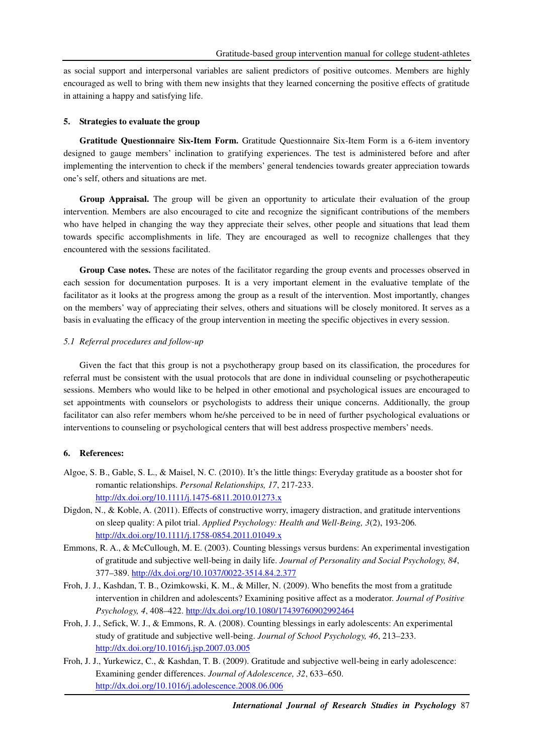as social support and interpersonal variables are salient predictors of positive outcomes. Members are highly encouraged as well to bring with them new insights that they learned concerning the positive effects of gratitude in attaining a happy and satisfying life.

# **5. Strategies to evaluate the group**

**Gratitude Questionnaire Six-Item Form.** Gratitude Questionnaire Six-Item Form is a 6-item inventory designed to gauge members' inclination to gratifying experiences. The test is administered before and after implementing the intervention to check if the members' general tendencies towards greater appreciation towards one's self, others and situations are met.

**Group Appraisal.** The group will be given an opportunity to articulate their evaluation of the group intervention. Members are also encouraged to cite and recognize the significant contributions of the members who have helped in changing the way they appreciate their selves, other people and situations that lead them towards specific accomplishments in life. They are encouraged as well to recognize challenges that they encountered with the sessions facilitated.

**Group Case notes.** These are notes of the facilitator regarding the group events and processes observed in each session for documentation purposes. It is a very important element in the evaluative template of the facilitator as it looks at the progress among the group as a result of the intervention. Most importantly, changes on the members' way of appreciating their selves, others and situations will be closely monitored. It serves as a basis in evaluating the efficacy of the group intervention in meeting the specific objectives in every session.

# *5.1 Referral procedures and follow-up*

Given the fact that this group is not a psychotherapy group based on its classification, the procedures for referral must be consistent with the usual protocols that are done in individual counseling or psychotherapeutic sessions. Members who would like to be helped in other emotional and psychological issues are encouraged to set appointments with counselors or psychologists to address their unique concerns. Additionally, the group facilitator can also refer members whom he/she perceived to be in need of further psychological evaluations or interventions to counseling or psychological centers that will best address prospective members' needs.

# **6. References:**

- Algoe, S. B., Gable, S. L., & Maisel, N. C. (2010). It's the little things: Everyday gratitude as a booster shot for romantic relationships. *Personal Relationships, 17*, 217-233. http://dx.doi.org/10.1111/j.1475-6811.2010.01273.x
- Digdon, N., & Koble, A. (2011). Effects of constructive worry, imagery distraction, and gratitude interventions on sleep quality: A pilot trial. *Applied Psychology: Health and Well-Being, 3*(2), 193-206*.*  http://dx.doi.org/10.1111/j.1758-0854.2011.01049.x
- Emmons, R. A., & McCullough, M. E. (2003). Counting blessings versus burdens: An experimental investigation of gratitude and subjective well-being in daily life. *Journal of Personality and Social Psychology, 84*, 377–389. http://dx.doi.org/10.1037/0022-3514.84.2.377
- Froh, J. J., Kashdan, T. B., Ozimkowski, K. M., & Miller, N. (2009). Who benefits the most from a gratitude intervention in children and adolescents? Examining positive affect as a moderator. *Journal of Positive Psychology, 4*, 408–422. http://dx.doi.org/10.1080/17439760902992464
- Froh, J. J., Sefick, W. J., & Emmons, R. A. (2008). Counting blessings in early adolescents: An experimental study of gratitude and subjective well-being. *Journal of School Psychology, 46*, 213–233. http://dx.doi.org/10.1016/j.jsp.2007.03.005
- Froh, J. J., Yurkewicz, C., & Kashdan, T. B. (2009). Gratitude and subjective well-being in early adolescence: Examining gender differences. *Journal of Adolescence, 32*, 633–650. http://dx.doi.org/10.1016/j.adolescence.2008.06.006